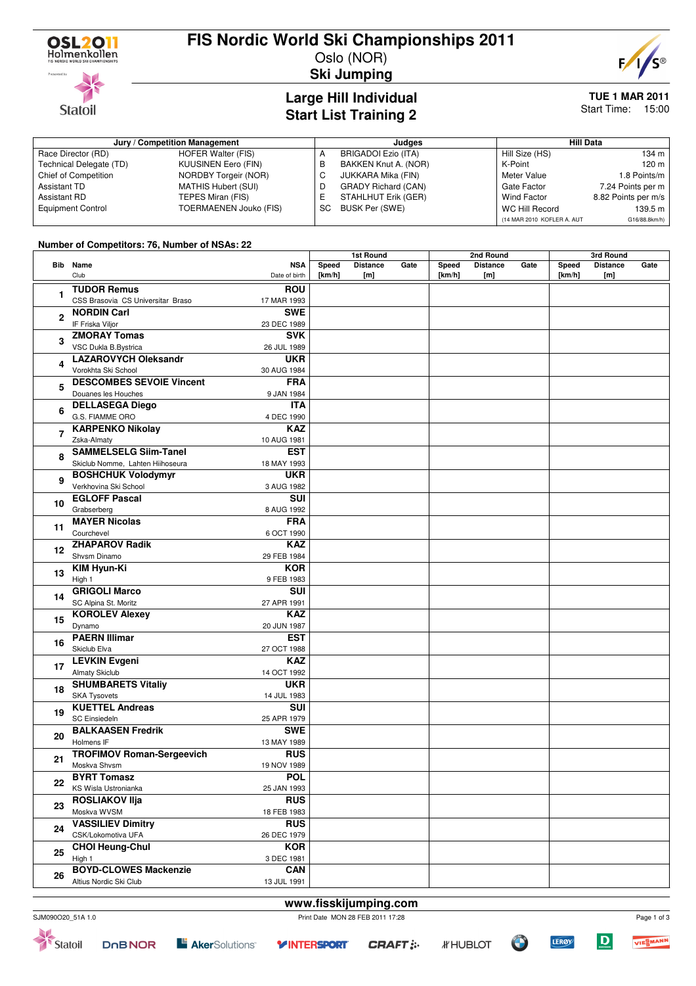

**Statoil** 

### **FIS Nordic World Ski Championships 2011**

Oslo (NOR) **Ski Jumping**



**TUE 1 MAR 2011**

### **Large Hill Individual Start List Training 2**

# Start Time: 15:00

| Jury / Competition Management |                               |    | Judges                     | <b>Hill Data</b>           |                     |  |
|-------------------------------|-------------------------------|----|----------------------------|----------------------------|---------------------|--|
| Race Director (RD)            | <b>HOFER Walter (FIS)</b>     |    | BRIGADOI Ezio (ITA)        | Hill Size (HS)             | $134 \text{ m}$     |  |
| Technical Delegate (TD)       | KUUSINEN Eero (FIN)           | в  | BAKKEN Knut A. (NOR)       | K-Point                    | 120 m               |  |
| <b>Chief of Competition</b>   | <b>NORDBY Torgeir (NOR)</b>   |    | JUKKARA Mika (FIN)         | Meter Value                | 1.8 Points/m        |  |
| Assistant TD                  | MATHIS Hubert (SUI)           |    | <b>GRADY Richard (CAN)</b> | Gate Factor                | 7.24 Points per m   |  |
| Assistant RD                  | TEPES Miran (FIS)             |    | STAHLHUT Erik (GER)        | Wind Factor                | 8.82 Points per m/s |  |
| <b>Equipment Control</b>      | <b>TOERMAENEN Jouko (FIS)</b> | SC | BUSK Per (SWE)             | <b>WC Hill Record</b>      | 139.5 m             |  |
|                               |                               |    |                            | (14 MAR 2010 KOFLER A, AUT | G16/88.8km/h)       |  |

### **Number of Competitors: 76, Number of NSAs: 22**

| Bib Name<br><b>NSA</b><br>Speed<br><b>Distance</b><br>Gate<br><b>Distance</b><br>Gate<br>Speed<br><b>Distance</b><br>Gate<br>Speed<br>Club<br>Date of birth<br>[km/h]<br>[km/h]<br>[km/h]<br>[m]<br>[m]<br>[m]<br><b>TUDOR Remus</b><br><b>ROU</b><br>1<br>CSS Brasovia CS Universitar Braso<br>17 MAR 1993<br><b>SWE</b><br><b>NORDIN Carl</b><br>$\overline{2}$<br>IF Friska Viljor<br>23 DEC 1989<br><b>ZMORAY Tomas</b><br><b>SVK</b><br>3<br>VSC Dukla B.Bystrica<br>26 JUL 1989<br><b>LAZAROVYCH Oleksandr</b><br><b>UKR</b><br>4<br>Vorokhta Ski School<br>30 AUG 1984<br><b>DESCOMBES SEVOIE Vincent</b><br><b>FRA</b><br>5<br>Douanes les Houches<br>9 JAN 1984<br><b>DELLASEGA Diego</b><br><b>ITA</b><br>6<br>G.S. FIAMME ORO<br>4 DEC 1990<br><b>KARPENKO Nikolay</b><br><b>KAZ</b><br>$\overline{7}$<br>Zska-Almaty<br>10 AUG 1981<br><b>SAMMELSELG Siim-Tanel</b><br><b>EST</b><br>8<br>Skiclub Nomme, Lahten Hiihoseura<br>18 MAY 1993<br><b>BOSHCHUK Volodymyr</b><br><b>UKR</b><br>9<br>Verkhovina Ski School<br>3 AUG 1982<br><b>EGLOFF Pascal</b><br>SUI<br>10<br>Grabserberg<br>8 AUG 1992<br><b>MAYER Nicolas</b><br><b>FRA</b><br>11<br>Courchevel<br>6 OCT 1990<br><b>ZHAPAROV Radik</b><br><b>KAZ</b><br>12<br>Shvsm Dinamo<br>29 FEB 1984<br><b>KIM Hyun-Ki</b><br><b>KOR</b><br>13<br>High 1<br>9 FEB 1983<br><b>GRIGOLI Marco</b><br>SUI<br>14<br>SC Alpina St. Moritz<br>27 APR 1991<br><b>KAZ</b><br><b>KOROLEV Alexey</b><br>15<br>Dynamo<br>20 JUN 1987<br><b>PAERN Illimar</b><br><b>EST</b><br>16<br>Skiclub Elva<br>27 OCT 1988<br><b>LEVKIN Evgeni</b><br><b>KAZ</b><br>17<br><b>Almaty Skiclub</b><br>14 OCT 1992<br><b>SHUMBARETS Vitaliy</b><br><b>UKR</b><br>18<br><b>SKA Tysovets</b><br>14 JUL 1983<br><b>KUETTEL Andreas</b><br><b>SUI</b><br>19<br><b>SC Einsiedeln</b><br>25 APR 1979<br><b>BALKAASEN Fredrik</b><br><b>SWE</b><br>20<br>Holmens IF<br>13 MAY 1989<br><b>RUS</b><br><b>TROFIMOV Roman-Sergeevich</b><br>21<br>Moskva Shvsm<br>19 NOV 1989<br><b>BYRT Tomasz</b><br><b>POL</b><br>22<br>KS Wisla Ustronianka<br>25 JAN 1993<br><b>ROSLIAKOV IIja</b><br><b>RUS</b><br>23<br>Moskva WVSM<br>18 FEB 1983<br><b>VASSILIEV Dimitry</b><br><b>RUS</b><br>24<br>CSK/Lokomotiva UFA<br>26 DEC 1979<br><b>CHOI Heung-Chul</b><br><b>KOR</b><br>25<br>High 1<br>3 DEC 1981<br><b>BOYD-CLOWES Mackenzie</b><br><b>CAN</b><br>26<br>Altius Nordic Ski Club<br>13 JUL 1991 | <b>Hamber of Competitors.</b> To, Hamber of Homs. EE |  | <b>1st Round</b> |  |  | 2nd Round |  |  | 3rd Round |  |  |  |
|---------------------------------------------------------------------------------------------------------------------------------------------------------------------------------------------------------------------------------------------------------------------------------------------------------------------------------------------------------------------------------------------------------------------------------------------------------------------------------------------------------------------------------------------------------------------------------------------------------------------------------------------------------------------------------------------------------------------------------------------------------------------------------------------------------------------------------------------------------------------------------------------------------------------------------------------------------------------------------------------------------------------------------------------------------------------------------------------------------------------------------------------------------------------------------------------------------------------------------------------------------------------------------------------------------------------------------------------------------------------------------------------------------------------------------------------------------------------------------------------------------------------------------------------------------------------------------------------------------------------------------------------------------------------------------------------------------------------------------------------------------------------------------------------------------------------------------------------------------------------------------------------------------------------------------------------------------------------------------------------------------------------------------------------------------------------------------------------------------------------------------------------------------------------------------------------------------------------------------------------------------------------------------------------------------------------------------------------------------------------------------------------------------------------------|------------------------------------------------------|--|------------------|--|--|-----------|--|--|-----------|--|--|--|
|                                                                                                                                                                                                                                                                                                                                                                                                                                                                                                                                                                                                                                                                                                                                                                                                                                                                                                                                                                                                                                                                                                                                                                                                                                                                                                                                                                                                                                                                                                                                                                                                                                                                                                                                                                                                                                                                                                                                                                                                                                                                                                                                                                                                                                                                                                                                                                                                                           |                                                      |  |                  |  |  |           |  |  |           |  |  |  |
|                                                                                                                                                                                                                                                                                                                                                                                                                                                                                                                                                                                                                                                                                                                                                                                                                                                                                                                                                                                                                                                                                                                                                                                                                                                                                                                                                                                                                                                                                                                                                                                                                                                                                                                                                                                                                                                                                                                                                                                                                                                                                                                                                                                                                                                                                                                                                                                                                           |                                                      |  |                  |  |  |           |  |  |           |  |  |  |
|                                                                                                                                                                                                                                                                                                                                                                                                                                                                                                                                                                                                                                                                                                                                                                                                                                                                                                                                                                                                                                                                                                                                                                                                                                                                                                                                                                                                                                                                                                                                                                                                                                                                                                                                                                                                                                                                                                                                                                                                                                                                                                                                                                                                                                                                                                                                                                                                                           |                                                      |  |                  |  |  |           |  |  |           |  |  |  |
|                                                                                                                                                                                                                                                                                                                                                                                                                                                                                                                                                                                                                                                                                                                                                                                                                                                                                                                                                                                                                                                                                                                                                                                                                                                                                                                                                                                                                                                                                                                                                                                                                                                                                                                                                                                                                                                                                                                                                                                                                                                                                                                                                                                                                                                                                                                                                                                                                           |                                                      |  |                  |  |  |           |  |  |           |  |  |  |
|                                                                                                                                                                                                                                                                                                                                                                                                                                                                                                                                                                                                                                                                                                                                                                                                                                                                                                                                                                                                                                                                                                                                                                                                                                                                                                                                                                                                                                                                                                                                                                                                                                                                                                                                                                                                                                                                                                                                                                                                                                                                                                                                                                                                                                                                                                                                                                                                                           |                                                      |  |                  |  |  |           |  |  |           |  |  |  |
|                                                                                                                                                                                                                                                                                                                                                                                                                                                                                                                                                                                                                                                                                                                                                                                                                                                                                                                                                                                                                                                                                                                                                                                                                                                                                                                                                                                                                                                                                                                                                                                                                                                                                                                                                                                                                                                                                                                                                                                                                                                                                                                                                                                                                                                                                                                                                                                                                           |                                                      |  |                  |  |  |           |  |  |           |  |  |  |
|                                                                                                                                                                                                                                                                                                                                                                                                                                                                                                                                                                                                                                                                                                                                                                                                                                                                                                                                                                                                                                                                                                                                                                                                                                                                                                                                                                                                                                                                                                                                                                                                                                                                                                                                                                                                                                                                                                                                                                                                                                                                                                                                                                                                                                                                                                                                                                                                                           |                                                      |  |                  |  |  |           |  |  |           |  |  |  |
|                                                                                                                                                                                                                                                                                                                                                                                                                                                                                                                                                                                                                                                                                                                                                                                                                                                                                                                                                                                                                                                                                                                                                                                                                                                                                                                                                                                                                                                                                                                                                                                                                                                                                                                                                                                                                                                                                                                                                                                                                                                                                                                                                                                                                                                                                                                                                                                                                           |                                                      |  |                  |  |  |           |  |  |           |  |  |  |
|                                                                                                                                                                                                                                                                                                                                                                                                                                                                                                                                                                                                                                                                                                                                                                                                                                                                                                                                                                                                                                                                                                                                                                                                                                                                                                                                                                                                                                                                                                                                                                                                                                                                                                                                                                                                                                                                                                                                                                                                                                                                                                                                                                                                                                                                                                                                                                                                                           |                                                      |  |                  |  |  |           |  |  |           |  |  |  |
|                                                                                                                                                                                                                                                                                                                                                                                                                                                                                                                                                                                                                                                                                                                                                                                                                                                                                                                                                                                                                                                                                                                                                                                                                                                                                                                                                                                                                                                                                                                                                                                                                                                                                                                                                                                                                                                                                                                                                                                                                                                                                                                                                                                                                                                                                                                                                                                                                           |                                                      |  |                  |  |  |           |  |  |           |  |  |  |
|                                                                                                                                                                                                                                                                                                                                                                                                                                                                                                                                                                                                                                                                                                                                                                                                                                                                                                                                                                                                                                                                                                                                                                                                                                                                                                                                                                                                                                                                                                                                                                                                                                                                                                                                                                                                                                                                                                                                                                                                                                                                                                                                                                                                                                                                                                                                                                                                                           |                                                      |  |                  |  |  |           |  |  |           |  |  |  |
|                                                                                                                                                                                                                                                                                                                                                                                                                                                                                                                                                                                                                                                                                                                                                                                                                                                                                                                                                                                                                                                                                                                                                                                                                                                                                                                                                                                                                                                                                                                                                                                                                                                                                                                                                                                                                                                                                                                                                                                                                                                                                                                                                                                                                                                                                                                                                                                                                           |                                                      |  |                  |  |  |           |  |  |           |  |  |  |
|                                                                                                                                                                                                                                                                                                                                                                                                                                                                                                                                                                                                                                                                                                                                                                                                                                                                                                                                                                                                                                                                                                                                                                                                                                                                                                                                                                                                                                                                                                                                                                                                                                                                                                                                                                                                                                                                                                                                                                                                                                                                                                                                                                                                                                                                                                                                                                                                                           |                                                      |  |                  |  |  |           |  |  |           |  |  |  |
|                                                                                                                                                                                                                                                                                                                                                                                                                                                                                                                                                                                                                                                                                                                                                                                                                                                                                                                                                                                                                                                                                                                                                                                                                                                                                                                                                                                                                                                                                                                                                                                                                                                                                                                                                                                                                                                                                                                                                                                                                                                                                                                                                                                                                                                                                                                                                                                                                           |                                                      |  |                  |  |  |           |  |  |           |  |  |  |
|                                                                                                                                                                                                                                                                                                                                                                                                                                                                                                                                                                                                                                                                                                                                                                                                                                                                                                                                                                                                                                                                                                                                                                                                                                                                                                                                                                                                                                                                                                                                                                                                                                                                                                                                                                                                                                                                                                                                                                                                                                                                                                                                                                                                                                                                                                                                                                                                                           |                                                      |  |                  |  |  |           |  |  |           |  |  |  |
|                                                                                                                                                                                                                                                                                                                                                                                                                                                                                                                                                                                                                                                                                                                                                                                                                                                                                                                                                                                                                                                                                                                                                                                                                                                                                                                                                                                                                                                                                                                                                                                                                                                                                                                                                                                                                                                                                                                                                                                                                                                                                                                                                                                                                                                                                                                                                                                                                           |                                                      |  |                  |  |  |           |  |  |           |  |  |  |
|                                                                                                                                                                                                                                                                                                                                                                                                                                                                                                                                                                                                                                                                                                                                                                                                                                                                                                                                                                                                                                                                                                                                                                                                                                                                                                                                                                                                                                                                                                                                                                                                                                                                                                                                                                                                                                                                                                                                                                                                                                                                                                                                                                                                                                                                                                                                                                                                                           |                                                      |  |                  |  |  |           |  |  |           |  |  |  |
|                                                                                                                                                                                                                                                                                                                                                                                                                                                                                                                                                                                                                                                                                                                                                                                                                                                                                                                                                                                                                                                                                                                                                                                                                                                                                                                                                                                                                                                                                                                                                                                                                                                                                                                                                                                                                                                                                                                                                                                                                                                                                                                                                                                                                                                                                                                                                                                                                           |                                                      |  |                  |  |  |           |  |  |           |  |  |  |
|                                                                                                                                                                                                                                                                                                                                                                                                                                                                                                                                                                                                                                                                                                                                                                                                                                                                                                                                                                                                                                                                                                                                                                                                                                                                                                                                                                                                                                                                                                                                                                                                                                                                                                                                                                                                                                                                                                                                                                                                                                                                                                                                                                                                                                                                                                                                                                                                                           |                                                      |  |                  |  |  |           |  |  |           |  |  |  |
|                                                                                                                                                                                                                                                                                                                                                                                                                                                                                                                                                                                                                                                                                                                                                                                                                                                                                                                                                                                                                                                                                                                                                                                                                                                                                                                                                                                                                                                                                                                                                                                                                                                                                                                                                                                                                                                                                                                                                                                                                                                                                                                                                                                                                                                                                                                                                                                                                           |                                                      |  |                  |  |  |           |  |  |           |  |  |  |
|                                                                                                                                                                                                                                                                                                                                                                                                                                                                                                                                                                                                                                                                                                                                                                                                                                                                                                                                                                                                                                                                                                                                                                                                                                                                                                                                                                                                                                                                                                                                                                                                                                                                                                                                                                                                                                                                                                                                                                                                                                                                                                                                                                                                                                                                                                                                                                                                                           |                                                      |  |                  |  |  |           |  |  |           |  |  |  |
|                                                                                                                                                                                                                                                                                                                                                                                                                                                                                                                                                                                                                                                                                                                                                                                                                                                                                                                                                                                                                                                                                                                                                                                                                                                                                                                                                                                                                                                                                                                                                                                                                                                                                                                                                                                                                                                                                                                                                                                                                                                                                                                                                                                                                                                                                                                                                                                                                           |                                                      |  |                  |  |  |           |  |  |           |  |  |  |
|                                                                                                                                                                                                                                                                                                                                                                                                                                                                                                                                                                                                                                                                                                                                                                                                                                                                                                                                                                                                                                                                                                                                                                                                                                                                                                                                                                                                                                                                                                                                                                                                                                                                                                                                                                                                                                                                                                                                                                                                                                                                                                                                                                                                                                                                                                                                                                                                                           |                                                      |  |                  |  |  |           |  |  |           |  |  |  |
|                                                                                                                                                                                                                                                                                                                                                                                                                                                                                                                                                                                                                                                                                                                                                                                                                                                                                                                                                                                                                                                                                                                                                                                                                                                                                                                                                                                                                                                                                                                                                                                                                                                                                                                                                                                                                                                                                                                                                                                                                                                                                                                                                                                                                                                                                                                                                                                                                           |                                                      |  |                  |  |  |           |  |  |           |  |  |  |
|                                                                                                                                                                                                                                                                                                                                                                                                                                                                                                                                                                                                                                                                                                                                                                                                                                                                                                                                                                                                                                                                                                                                                                                                                                                                                                                                                                                                                                                                                                                                                                                                                                                                                                                                                                                                                                                                                                                                                                                                                                                                                                                                                                                                                                                                                                                                                                                                                           |                                                      |  |                  |  |  |           |  |  |           |  |  |  |
|                                                                                                                                                                                                                                                                                                                                                                                                                                                                                                                                                                                                                                                                                                                                                                                                                                                                                                                                                                                                                                                                                                                                                                                                                                                                                                                                                                                                                                                                                                                                                                                                                                                                                                                                                                                                                                                                                                                                                                                                                                                                                                                                                                                                                                                                                                                                                                                                                           |                                                      |  |                  |  |  |           |  |  |           |  |  |  |
|                                                                                                                                                                                                                                                                                                                                                                                                                                                                                                                                                                                                                                                                                                                                                                                                                                                                                                                                                                                                                                                                                                                                                                                                                                                                                                                                                                                                                                                                                                                                                                                                                                                                                                                                                                                                                                                                                                                                                                                                                                                                                                                                                                                                                                                                                                                                                                                                                           |                                                      |  |                  |  |  |           |  |  |           |  |  |  |
|                                                                                                                                                                                                                                                                                                                                                                                                                                                                                                                                                                                                                                                                                                                                                                                                                                                                                                                                                                                                                                                                                                                                                                                                                                                                                                                                                                                                                                                                                                                                                                                                                                                                                                                                                                                                                                                                                                                                                                                                                                                                                                                                                                                                                                                                                                                                                                                                                           |                                                      |  |                  |  |  |           |  |  |           |  |  |  |
|                                                                                                                                                                                                                                                                                                                                                                                                                                                                                                                                                                                                                                                                                                                                                                                                                                                                                                                                                                                                                                                                                                                                                                                                                                                                                                                                                                                                                                                                                                                                                                                                                                                                                                                                                                                                                                                                                                                                                                                                                                                                                                                                                                                                                                                                                                                                                                                                                           |                                                      |  |                  |  |  |           |  |  |           |  |  |  |
|                                                                                                                                                                                                                                                                                                                                                                                                                                                                                                                                                                                                                                                                                                                                                                                                                                                                                                                                                                                                                                                                                                                                                                                                                                                                                                                                                                                                                                                                                                                                                                                                                                                                                                                                                                                                                                                                                                                                                                                                                                                                                                                                                                                                                                                                                                                                                                                                                           |                                                      |  |                  |  |  |           |  |  |           |  |  |  |
|                                                                                                                                                                                                                                                                                                                                                                                                                                                                                                                                                                                                                                                                                                                                                                                                                                                                                                                                                                                                                                                                                                                                                                                                                                                                                                                                                                                                                                                                                                                                                                                                                                                                                                                                                                                                                                                                                                                                                                                                                                                                                                                                                                                                                                                                                                                                                                                                                           |                                                      |  |                  |  |  |           |  |  |           |  |  |  |
|                                                                                                                                                                                                                                                                                                                                                                                                                                                                                                                                                                                                                                                                                                                                                                                                                                                                                                                                                                                                                                                                                                                                                                                                                                                                                                                                                                                                                                                                                                                                                                                                                                                                                                                                                                                                                                                                                                                                                                                                                                                                                                                                                                                                                                                                                                                                                                                                                           |                                                      |  |                  |  |  |           |  |  |           |  |  |  |
|                                                                                                                                                                                                                                                                                                                                                                                                                                                                                                                                                                                                                                                                                                                                                                                                                                                                                                                                                                                                                                                                                                                                                                                                                                                                                                                                                                                                                                                                                                                                                                                                                                                                                                                                                                                                                                                                                                                                                                                                                                                                                                                                                                                                                                                                                                                                                                                                                           |                                                      |  |                  |  |  |           |  |  |           |  |  |  |
|                                                                                                                                                                                                                                                                                                                                                                                                                                                                                                                                                                                                                                                                                                                                                                                                                                                                                                                                                                                                                                                                                                                                                                                                                                                                                                                                                                                                                                                                                                                                                                                                                                                                                                                                                                                                                                                                                                                                                                                                                                                                                                                                                                                                                                                                                                                                                                                                                           |                                                      |  |                  |  |  |           |  |  |           |  |  |  |
|                                                                                                                                                                                                                                                                                                                                                                                                                                                                                                                                                                                                                                                                                                                                                                                                                                                                                                                                                                                                                                                                                                                                                                                                                                                                                                                                                                                                                                                                                                                                                                                                                                                                                                                                                                                                                                                                                                                                                                                                                                                                                                                                                                                                                                                                                                                                                                                                                           |                                                      |  |                  |  |  |           |  |  |           |  |  |  |
|                                                                                                                                                                                                                                                                                                                                                                                                                                                                                                                                                                                                                                                                                                                                                                                                                                                                                                                                                                                                                                                                                                                                                                                                                                                                                                                                                                                                                                                                                                                                                                                                                                                                                                                                                                                                                                                                                                                                                                                                                                                                                                                                                                                                                                                                                                                                                                                                                           |                                                      |  |                  |  |  |           |  |  |           |  |  |  |
|                                                                                                                                                                                                                                                                                                                                                                                                                                                                                                                                                                                                                                                                                                                                                                                                                                                                                                                                                                                                                                                                                                                                                                                                                                                                                                                                                                                                                                                                                                                                                                                                                                                                                                                                                                                                                                                                                                                                                                                                                                                                                                                                                                                                                                                                                                                                                                                                                           |                                                      |  |                  |  |  |           |  |  |           |  |  |  |
|                                                                                                                                                                                                                                                                                                                                                                                                                                                                                                                                                                                                                                                                                                                                                                                                                                                                                                                                                                                                                                                                                                                                                                                                                                                                                                                                                                                                                                                                                                                                                                                                                                                                                                                                                                                                                                                                                                                                                                                                                                                                                                                                                                                                                                                                                                                                                                                                                           |                                                      |  |                  |  |  |           |  |  |           |  |  |  |
|                                                                                                                                                                                                                                                                                                                                                                                                                                                                                                                                                                                                                                                                                                                                                                                                                                                                                                                                                                                                                                                                                                                                                                                                                                                                                                                                                                                                                                                                                                                                                                                                                                                                                                                                                                                                                                                                                                                                                                                                                                                                                                                                                                                                                                                                                                                                                                                                                           |                                                      |  |                  |  |  |           |  |  |           |  |  |  |
|                                                                                                                                                                                                                                                                                                                                                                                                                                                                                                                                                                                                                                                                                                                                                                                                                                                                                                                                                                                                                                                                                                                                                                                                                                                                                                                                                                                                                                                                                                                                                                                                                                                                                                                                                                                                                                                                                                                                                                                                                                                                                                                                                                                                                                                                                                                                                                                                                           |                                                      |  |                  |  |  |           |  |  |           |  |  |  |
|                                                                                                                                                                                                                                                                                                                                                                                                                                                                                                                                                                                                                                                                                                                                                                                                                                                                                                                                                                                                                                                                                                                                                                                                                                                                                                                                                                                                                                                                                                                                                                                                                                                                                                                                                                                                                                                                                                                                                                                                                                                                                                                                                                                                                                                                                                                                                                                                                           |                                                      |  |                  |  |  |           |  |  |           |  |  |  |
|                                                                                                                                                                                                                                                                                                                                                                                                                                                                                                                                                                                                                                                                                                                                                                                                                                                                                                                                                                                                                                                                                                                                                                                                                                                                                                                                                                                                                                                                                                                                                                                                                                                                                                                                                                                                                                                                                                                                                                                                                                                                                                                                                                                                                                                                                                                                                                                                                           |                                                      |  |                  |  |  |           |  |  |           |  |  |  |
|                                                                                                                                                                                                                                                                                                                                                                                                                                                                                                                                                                                                                                                                                                                                                                                                                                                                                                                                                                                                                                                                                                                                                                                                                                                                                                                                                                                                                                                                                                                                                                                                                                                                                                                                                                                                                                                                                                                                                                                                                                                                                                                                                                                                                                                                                                                                                                                                                           |                                                      |  |                  |  |  |           |  |  |           |  |  |  |
|                                                                                                                                                                                                                                                                                                                                                                                                                                                                                                                                                                                                                                                                                                                                                                                                                                                                                                                                                                                                                                                                                                                                                                                                                                                                                                                                                                                                                                                                                                                                                                                                                                                                                                                                                                                                                                                                                                                                                                                                                                                                                                                                                                                                                                                                                                                                                                                                                           |                                                      |  |                  |  |  |           |  |  |           |  |  |  |
|                                                                                                                                                                                                                                                                                                                                                                                                                                                                                                                                                                                                                                                                                                                                                                                                                                                                                                                                                                                                                                                                                                                                                                                                                                                                                                                                                                                                                                                                                                                                                                                                                                                                                                                                                                                                                                                                                                                                                                                                                                                                                                                                                                                                                                                                                                                                                                                                                           |                                                      |  |                  |  |  |           |  |  |           |  |  |  |
|                                                                                                                                                                                                                                                                                                                                                                                                                                                                                                                                                                                                                                                                                                                                                                                                                                                                                                                                                                                                                                                                                                                                                                                                                                                                                                                                                                                                                                                                                                                                                                                                                                                                                                                                                                                                                                                                                                                                                                                                                                                                                                                                                                                                                                                                                                                                                                                                                           |                                                      |  |                  |  |  |           |  |  |           |  |  |  |
|                                                                                                                                                                                                                                                                                                                                                                                                                                                                                                                                                                                                                                                                                                                                                                                                                                                                                                                                                                                                                                                                                                                                                                                                                                                                                                                                                                                                                                                                                                                                                                                                                                                                                                                                                                                                                                                                                                                                                                                                                                                                                                                                                                                                                                                                                                                                                                                                                           |                                                      |  |                  |  |  |           |  |  |           |  |  |  |
|                                                                                                                                                                                                                                                                                                                                                                                                                                                                                                                                                                                                                                                                                                                                                                                                                                                                                                                                                                                                                                                                                                                                                                                                                                                                                                                                                                                                                                                                                                                                                                                                                                                                                                                                                                                                                                                                                                                                                                                                                                                                                                                                                                                                                                                                                                                                                                                                                           |                                                      |  |                  |  |  |           |  |  |           |  |  |  |
|                                                                                                                                                                                                                                                                                                                                                                                                                                                                                                                                                                                                                                                                                                                                                                                                                                                                                                                                                                                                                                                                                                                                                                                                                                                                                                                                                                                                                                                                                                                                                                                                                                                                                                                                                                                                                                                                                                                                                                                                                                                                                                                                                                                                                                                                                                                                                                                                                           |                                                      |  |                  |  |  |           |  |  |           |  |  |  |
|                                                                                                                                                                                                                                                                                                                                                                                                                                                                                                                                                                                                                                                                                                                                                                                                                                                                                                                                                                                                                                                                                                                                                                                                                                                                                                                                                                                                                                                                                                                                                                                                                                                                                                                                                                                                                                                                                                                                                                                                                                                                                                                                                                                                                                                                                                                                                                                                                           |                                                      |  |                  |  |  |           |  |  |           |  |  |  |
|                                                                                                                                                                                                                                                                                                                                                                                                                                                                                                                                                                                                                                                                                                                                                                                                                                                                                                                                                                                                                                                                                                                                                                                                                                                                                                                                                                                                                                                                                                                                                                                                                                                                                                                                                                                                                                                                                                                                                                                                                                                                                                                                                                                                                                                                                                                                                                                                                           |                                                      |  |                  |  |  |           |  |  |           |  |  |  |
|                                                                                                                                                                                                                                                                                                                                                                                                                                                                                                                                                                                                                                                                                                                                                                                                                                                                                                                                                                                                                                                                                                                                                                                                                                                                                                                                                                                                                                                                                                                                                                                                                                                                                                                                                                                                                                                                                                                                                                                                                                                                                                                                                                                                                                                                                                                                                                                                                           |                                                      |  |                  |  |  |           |  |  |           |  |  |  |
|                                                                                                                                                                                                                                                                                                                                                                                                                                                                                                                                                                                                                                                                                                                                                                                                                                                                                                                                                                                                                                                                                                                                                                                                                                                                                                                                                                                                                                                                                                                                                                                                                                                                                                                                                                                                                                                                                                                                                                                                                                                                                                                                                                                                                                                                                                                                                                                                                           |                                                      |  |                  |  |  |           |  |  |           |  |  |  |
|                                                                                                                                                                                                                                                                                                                                                                                                                                                                                                                                                                                                                                                                                                                                                                                                                                                                                                                                                                                                                                                                                                                                                                                                                                                                                                                                                                                                                                                                                                                                                                                                                                                                                                                                                                                                                                                                                                                                                                                                                                                                                                                                                                                                                                                                                                                                                                                                                           |                                                      |  |                  |  |  |           |  |  |           |  |  |  |



**E** AkerSolutions<sup>®</sup>

## **www.fisskijumping.com**

**DOBNOR** 



 $\overline{D}$ 

**LERØY**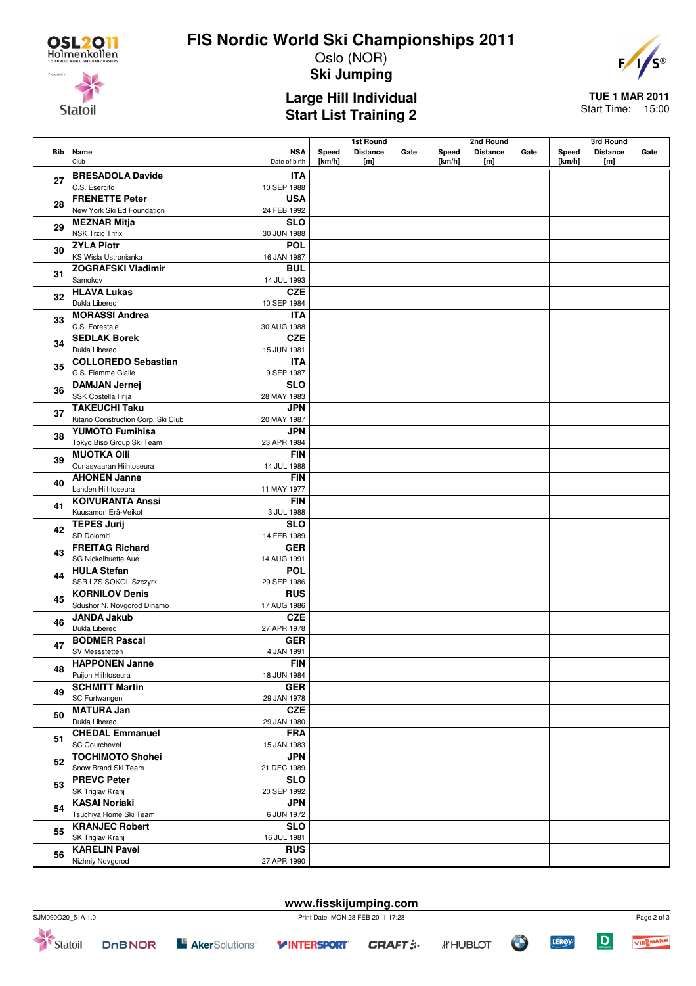**Statoil** 

## **FIS Nordic World Ski Championships 2011**

Oslo (NOR)



**Ski Jumping**

### **Large Hill Individual Start List Training 2**

**TUE 1 MAR 2011** Start Time: 15:00

**Bib Name** Club **NSA** Date of birth **1st Round Speed Distance Gate [km/h] [m] 2nd Round Speed Distance Gate [km/h] [m] 3rd Round Speed Distance Gate [km/h] [m] <sup>27</sup> BRESADOLA Davide** C.S. Esercito **ITA** 10 SEP 1988 **<sup>28</sup> FRENETTE Peter** New York Ski Ed Foundation **USA** 24 FEB 1992 **<sup>29</sup> MEZNAR Mitja** NSK Trzic Trifix **SLO** 30 JUN 1988 **<sup>30</sup> ZYLA Piotr** KS Wisla Ustronianka **POL** 16 JAN 1987 **<sup>31</sup> ZOGRAFSKI Vladimir** Samokov **BUL** 14 JUL 1993 **<sup>32</sup> HLAVA Lukas** Dukla Liberec **CZE** 10 SEP 1984 **<sup>33</sup> MORASSI Andrea** C.S. Forestale **ITA** 30 AUG 1988 **<sup>34</sup> SEDLAK Borek** Dukla Liberec **CZE** 15 JUN 1981 **<sup>35</sup> COLLOREDO Sebastian** G.S. Fiamme Gialle **ITA** 9 SEP 1987 **<sup>36</sup> DAMJAN Jernej** SSK Costella Ilirija **SLO** 28 MAY 1983 **<sup>37</sup> TAKEUCHI Taku** Kitano Construction Corp. Ski Club **JPN** 20 MAY 1987 **<sup>38</sup> YUMOTO Fumihisa** Tokyo Biso Group Ski Team **JPN** 23 APR 1984 **<sup>39</sup> MUOTKA Olli** Ounasvaaran Hiihtoseura **FIN** 14 JUL 1988 **<sup>40</sup> AHONEN Janne** Lahden Hiihtoseura **FIN** 11 MAY 1977 **<sup>41</sup> KOIVURANTA Anssi** Kuusamon Erä-Veikot **FIN** 3 JUL 1988 **<sup>42</sup> TEPES Jurij** SD Dolomiti **SLO** 14 FEB 1989 **<sup>43</sup> FREITAG Richard** SG Nickelhuette Aue **GER** 14 AUG 1991 **<sup>44</sup> HULA Stefan** SSR LZS SOKOL Szczyrk **POL** 29 SEP 1986 **<sup>45</sup> KORNILOV Denis** Sdushor N. Novgorod Dinamo **RUS** 17 AUG 1986 **<sup>46</sup> JANDA Jakub** Dukla Liberec **CZE** 27 APR 1978 **<sup>47</sup> BODMER Pascal** SV Messstetten **GER** 4 JAN 1991 **<sup>48</sup> HAPPONEN Janne** Puijon Hiihtoseura **FIN** 18 JUN 1984 **<sup>49</sup> SCHMITT Martin** SC Furtwangen **GER** 29 JAN 1978 **<sup>50</sup> MATURA Jan** Dukla Liberec **CZE** 29 JAN 1980 **<sup>51</sup> CHEDAL Emmanuel** SC Courchevel **FRA** 15 JAN 1983 **<sup>52</sup> TOCHIMOTO Shohei** Snow Brand Ski Team **JPN** 21 DEC 1989 **<sup>53</sup> PREVC Peter** SK Triglav Kranj **SLO** 20 SEP 1992 **<sup>54</sup> KASAI Noriaki** Tsuchiya Home Ski Team **JPN** 6 JUN 1972 **<sup>55</sup> KRANJEC Robert** SK Triglav Kranj **SLO** 16 JUL 1981 **<sup>56</sup> KARELIN Pavel** Nizhniy Novgorod **RUS** 27 APR 1990